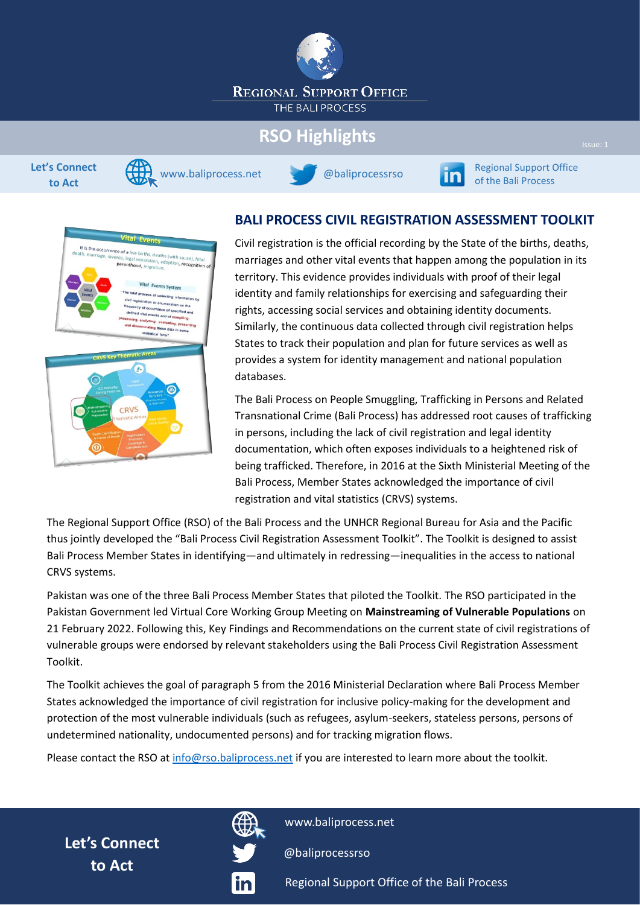

# **RSO Highlights**







**EXECUTE SECURITY REGIONAL SUPPORT OFFICE SUPPORT OF ITAL** Section Association of the Bali Process

# Vital Events It is the occurrence of a live births, deaths (with cause), fetal<br>ath, marriage, divorce, legal separation, adoption, recognition<br>parenthood, migration, recognition Vital Events System n on the G CRVS

#### **BALI PROCESS CIVIL REGISTRATION ASSESSMENT TOOLKIT**

Civil registration is the official recording by the State of the births, deaths, marriages and other vital events that happen among the population in its territory. This evidence provides individuals with proof of their legal identity and family relationships for exercising and safeguarding their rights, accessing social services and obtaining identity documents. Similarly, the continuous data collected through civil registration helps States to track their population and plan for future services as well as provides a system for identity management and national population databases.

The Bali Process on People Smuggling, Trafficking in Persons and Related Transnational Crime (Bali Process) has addressed root causes of trafficking in persons, including the lack of civil registration and legal identity documentation, which often exposes individuals to a heightened risk of being trafficked. Therefore, in 2016 at the Sixth Ministerial Meeting of the Bali Process, Member States acknowledged the importance of civil registration and vital statistics (CRVS) systems.

The Regional Support Office (RSO) of the Bali Process and the UNHCR Regional Bureau for Asia and the Pacific thus jointly developed the "Bali Process Civil Registration Assessment Toolkit". The Toolkit is designed to assist Bali Process Member States in identifying—and ultimately in redressing—inequalities in the access to national CRVS systems.

Pakistan was one of the three Bali Process Member States that piloted the Toolkit. The RSO participated in the Pakistan Government led Virtual Core Working Group Meeting on **Mainstreaming of Vulnerable Populations** on 21 February 2022. Following this, Key Findings and Recommendations on the current state of civil registrations of vulnerable groups were endorsed by relevant stakeholders using the Bali Process Civil Registration Assessment Toolkit.

The Toolkit achieves the goal of paragraph 5 from the 2016 Ministerial Declaration where Bali Process Member States acknowledged the importance of civil registration for inclusive policy-making for the development and protection of the most vulnerable individuals (such as refugees, asylum-seekers, stateless persons, persons of undetermined nationality, undocumented persons) and for tracking migration flows.

Please contact the RSO at [info@rso.baliprocess.net](mailto:info@rso.baliprocess.net) if you are interested to learn more about the toolkit.

**Let's Connect to Act**



[www.baliprocess.net](https://www.baliprocess.net/)

[@baliprocessrso](https://twitter.com/baliprocessrso)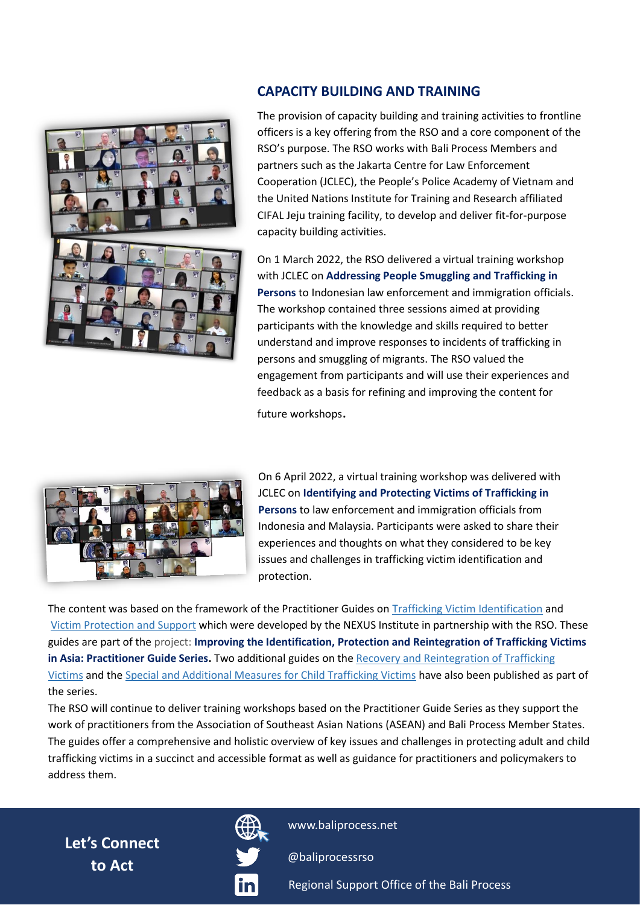

#### **CAPACITY BUILDING AND TRAINING**

The provision of capacity building and training activities to frontline officers is a key offering from the RSO and a core component of the RSO's purpose. The RSO works with Bali Process Members and partners such as the Jakarta Centre for Law Enforcement Cooperation (JCLEC), the People's Police Academy of Vietnam and the United Nations Institute for Training and Research affiliated CIFAL Jeju training facility, to develop and deliver fit-for-purpose capacity building activities.

On 1 March 2022, the RSO delivered a virtual training workshop with JCLEC on **Addressing People Smuggling and Trafficking in Persons** to Indonesian law enforcement and immigration officials. The workshop contained three sessions aimed at providing participants with the knowledge and skills required to better understand and improve responses to incidents of trafficking in persons and smuggling of migrants. The RSO valued the engagement from participants and will use their experiences and feedback as a basis for refining and improving the content for future workshops.



[O](https://www.baliprocess.net/news/the-bali-process-virtual-training-workshop-on-identifying-and-protecting-victims-of-trafficking-in-persons/)n 6 April 2022, a virtual training workshop was delivered with JCLEC on **Identifying and Protecting Victims of Trafficking in Persons** to law enforcement and immigration officials from Indonesia and Malaysia. Participants were asked to share their experiences and thoughts on what they considered to be key issues and challenges in trafficking victim identification and protection.

The content was based on the framework of the Practitioner Guides on [Trafficking Victim Identification](https://www.baliprocess.net/UserFiles/baliprocess/File/Trafficking%20Victim%20Identification_%20A%20Practitioner%20Guide%20NEXUS%20and%20RSO%202021.pdf) and [Victim Protection and Support](https://www.baliprocess.net/UserFiles/baliprocess/File/Trafficking%20Victim%20Protection%20and%20Support_%20A%20Practitioner%20Guide%20NEXUS%20and%20RSO%202021.pdf) which were developed by the NEXUS Institute in partnership with the RSO. These guides are part of the project: **Improving the Identification, Protection and Reintegration of Trafficking Victims in Asia: Practitioner Guide Series.** Two additional guides on the [Recovery and Reintegration of Trafficking](https://www.baliprocess.net/UserFiles/baliprocess/File/Recovery%20and%20Reintegration%20of%20Trafficking%20Victims_%20A%20Practitioner%20Guide%20NEXUS%20and%20RSO%202021.pdf)  [Victims](https://www.baliprocess.net/UserFiles/baliprocess/File/Recovery%20and%20Reintegration%20of%20Trafficking%20Victims_%20A%20Practitioner%20Guide%20NEXUS%20and%20RSO%202021.pdf) and the [Special and Additional Measures for Child Trafficking Victims](https://www.baliprocess.net/UserFiles/baliprocess/File/Special-Measures-for-Child-Trafficking-Victims-A-Practitioner-Guide-NEXUS-and-RSO.pdf) have also been published as part of the series.

The RSO will continue to deliver training workshops based on the Practitioner Guide Series as they support the work of practitioners from the Association of Southeast Asian Nations (ASEAN) and Bali Process Member States. The guides offer a comprehensive and holistic overview of key issues and challenges in protecting adult and child trafficking victims in a succinct and accessible format as well as guidance for practitioners and policymakers to address them.

**Let's Connect to Act**



[www.baliprocess.net](https://www.baliprocess.net/)

[@baliprocessrso](https://twitter.com/baliprocessrso)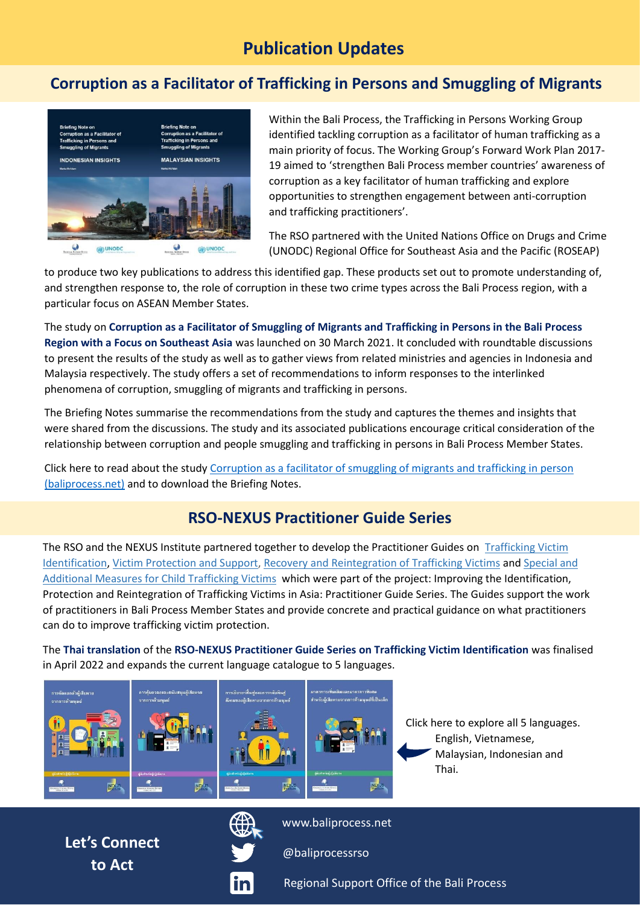## **Publication Updates**

#### **Corruption as a Facilitator of Trafficking in Persons and Smuggling of Migrants**



Within the Bali Process, the Trafficking in Persons Working Group identified tackling corruption as a facilitator of human trafficking as a main priority of focus. The Working Group's Forward Work Plan 2017- 19 aimed to 'strengthen Bali Process member countries' awareness of corruption as a key facilitator of human trafficking and explore opportunities to strengthen engagement between anti-corruption and trafficking practitioners'.

The RSO partnered with the United Nations Office on Drugs and Crime (UNODC) Regional Office for Southeast Asia and the Pacific (ROSEAP)

to produce two key publications to address this identified gap. These products set out to promote understanding of, and strengthen response to, the role of corruption in these two crime types across the Bali Process region, with a particular focus on ASEAN Member States.

The study on **Corruption as a Facilitator of Smuggling of Migrants and Trafficking in Persons in the Bali Process Region with a Focus on Southeast Asia** was launched on 30 March 2021. It concluded with roundtable discussions to present the results of the study as well as to gather views from related ministries and agencies in Indonesia and Malaysia respectively. The study offers a set of recommendations to inform responses to the interlinked phenomena of corruption, smuggling of migrants and trafficking in persons.

The Briefing Notes summarise the recommendations from the study and captures the themes and insights that were shared from the discussions. The study and its associated publications encourage critical consideration of the relationship between corruption and people smuggling and trafficking in persons in Bali Process Member States.

Click here to read about the study [Corruption as a facilitator of smuggling of migrants and trafficking in person](https://www.baliprocess.net/regional-support-office/corruption-as-a-facilitator-of-smuggling-of-migrants-and-trafficking-in-persons/)  [\(baliprocess.net\)](https://www.baliprocess.net/regional-support-office/corruption-as-a-facilitator-of-smuggling-of-migrants-and-trafficking-in-persons/) and to download the Briefing Notes.

#### **RSO-NEXUS Practitioner Guide Series**

The RSO and the NEXUS Institute partnered together to develop the Practitioner Guides on [Trafficking Victim](https://www.baliprocess.net/UserFiles/baliprocess/File/Trafficking%20Victim%20Identification_%20A%20Practitioner%20Guide%20NEXUS%20and%20RSO%202021.pdf)  [Identification,](https://www.baliprocess.net/UserFiles/baliprocess/File/Trafficking%20Victim%20Identification_%20A%20Practitioner%20Guide%20NEXUS%20and%20RSO%202021.pdf) [Victim Protection and Support,](https://www.baliprocess.net/UserFiles/baliprocess/File/Trafficking%20Victim%20Protection%20and%20Support_%20A%20Practitioner%20Guide%20NEXUS%20and%20RSO%202021.pdf) [Recovery and Reintegration of Trafficking Victims](https://www.baliprocess.net/UserFiles/baliprocess/File/Recovery%20and%20Reintegration%20of%20Trafficking%20Victims_%20A%20Practitioner%20Guide%20NEXUS%20and%20RSO%202021.pdf) and [Special and](https://www.baliprocess.net/UserFiles/baliprocess/File/Special-Measures-for-Child-Trafficking-Victims-A-Practitioner-Guide-NEXUS-and-RSO.pdf)  [Additional Measures for Child Trafficking Victims](https://www.baliprocess.net/UserFiles/baliprocess/File/Special-Measures-for-Child-Trafficking-Victims-A-Practitioner-Guide-NEXUS-and-RSO.pdf) which were part of the project: Improving the Identification, Protection and Reintegration of Trafficking Victims in Asia: Practitioner Guide Series. The Guides support the work of practitioners in Bali Process Member States and provide concrete and practical guidance on what practitioners can do to improve trafficking victim protection.

The **Thai translation** of the **RSO-NEXUS Practitioner Guide Series on Trafficking Victim Identification** was finalised in April 2022 and expands the current language catalogue to 5 languages.



Click here to explore all 5 languages. English, Vietnamese, Malaysian, Indonesian and Thai.

**Let's Connect to Act**



[www.baliprocess.net](https://www.baliprocess.net/)

[@baliprocessrso](https://twitter.com/baliprocessrso)

<u>in</u>